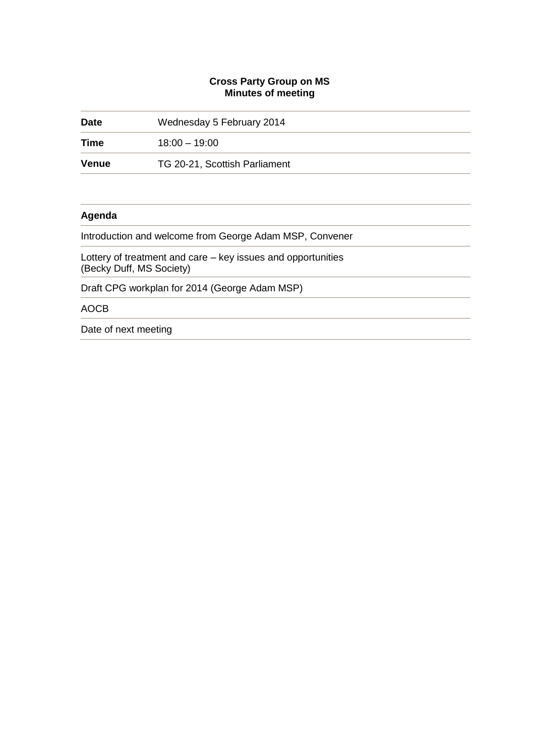## **Cross Party Group on MS Minutes of meeting**

| <b>Date</b>  | Wednesday 5 February 2014                                                                |  |
|--------------|------------------------------------------------------------------------------------------|--|
| Time         | $18:00 - 19:00$                                                                          |  |
| <b>Venue</b> | TG 20-21, Scottish Parliament                                                            |  |
|              |                                                                                          |  |
| Agenda       |                                                                                          |  |
|              | Introduction and welcome from George Adam MSP, Convener                                  |  |
|              | Lottery of treatment and care – key issues and opportunities<br>(Becky Duff, MS Society) |  |
|              | Draft CPG workplan for 2014 (George Adam MSP)                                            |  |
| <b>AOCB</b>  |                                                                                          |  |
|              |                                                                                          |  |

Date of next meeting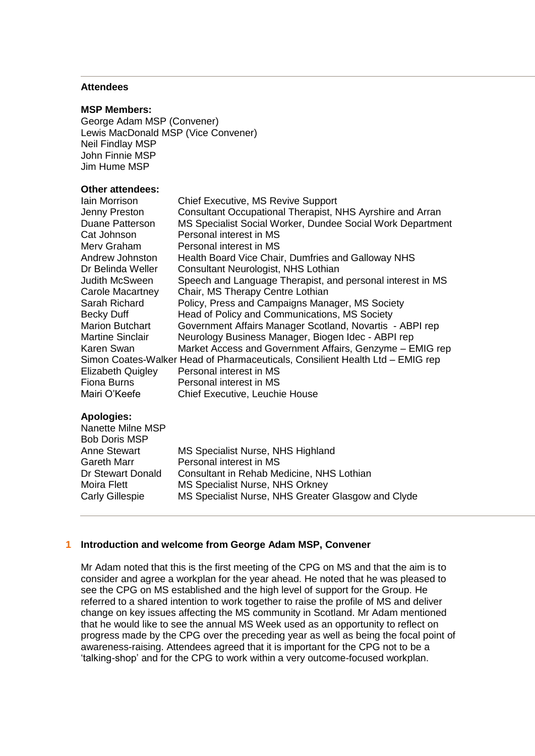# **Attendees**

#### **MSP Members:**

George Adam MSP (Convener) Lewis MacDonald MSP (Vice Convener) Neil Findlay MSP John Finnie MSP Jim Hume MSP

#### **Other attendees:**

| <b>lain Morrison</b>     | <b>Chief Executive, MS Revive Support</b>                                     |
|--------------------------|-------------------------------------------------------------------------------|
| Jenny Preston            | Consultant Occupational Therapist, NHS Ayrshire and Arran                     |
| <b>Duane Patterson</b>   | MS Specialist Social Worker, Dundee Social Work Department                    |
| Cat Johnson              | Personal interest in MS                                                       |
| Merv Graham              | Personal interest in MS                                                       |
| Andrew Johnston          | Health Board Vice Chair, Dumfries and Galloway NHS                            |
| Dr Belinda Weller        | Consultant Neurologist, NHS Lothian                                           |
| <b>Judith McSween</b>    | Speech and Language Therapist, and personal interest in MS                    |
| <b>Carole Macartney</b>  | Chair, MS Therapy Centre Lothian                                              |
| Sarah Richard            | Policy, Press and Campaigns Manager, MS Society                               |
| Becky Duff               | Head of Policy and Communications, MS Society                                 |
| <b>Marion Butchart</b>   | Government Affairs Manager Scotland, Novartis - ABPI rep                      |
| <b>Martine Sinclair</b>  | Neurology Business Manager, Biogen Idec - ABPI rep                            |
| Karen Swan               | Market Access and Government Affairs, Genzyme - EMIG rep                      |
|                          | Simon Coates-Walker Head of Pharmaceuticals, Consilient Health Ltd – EMIG rep |
| <b>Elizabeth Quigley</b> | Personal interest in MS                                                       |
| <b>Fiona Burns</b>       | Personal interest in MS                                                       |
| Mairi O'Keefe            | <b>Chief Executive, Leuchie House</b>                                         |

### **Apologies:**

| Nanette Milne MSP<br><b>Bob Doris MSP</b> |                                                    |
|-------------------------------------------|----------------------------------------------------|
|                                           |                                                    |
| Anne Stewart                              | MS Specialist Nurse, NHS Highland                  |
| Gareth Marr                               | Personal interest in MS                            |
| Dr Stewart Donald                         | Consultant in Rehab Medicine, NHS Lothian          |
| Moira Flett                               | <b>MS Specialist Nurse, NHS Orkney</b>             |
| Carly Gillespie                           | MS Specialist Nurse, NHS Greater Glasgow and Clyde |
|                                           |                                                    |

### **1 Introduction and welcome from George Adam MSP, Convener**

Mr Adam noted that this is the first meeting of the CPG on MS and that the aim is to consider and agree a workplan for the year ahead. He noted that he was pleased to see the CPG on MS established and the high level of support for the Group. He referred to a shared intention to work together to raise the profile of MS and deliver change on key issues affecting the MS community in Scotland. Mr Adam mentioned that he would like to see the annual MS Week used as an opportunity to reflect on progress made by the CPG over the preceding year as well as being the focal point of awareness-raising. Attendees agreed that it is important for the CPG not to be a 'talking-shop' and for the CPG to work within a very outcome-focused workplan.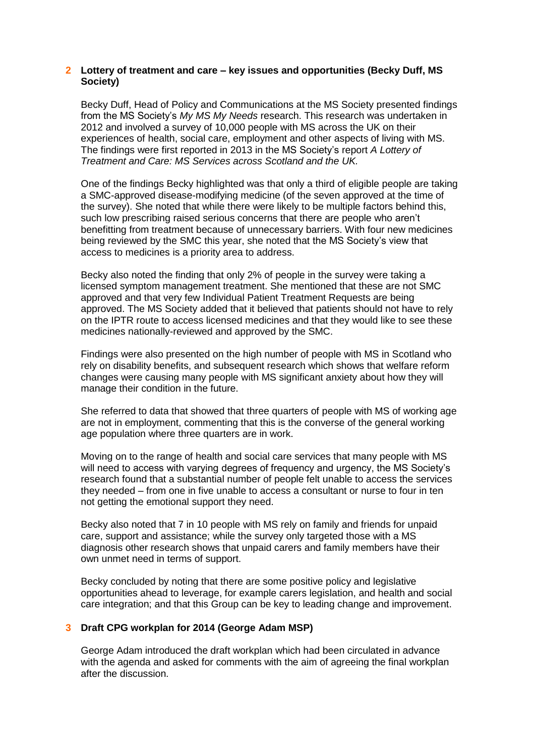## **2 Lottery of treatment and care – key issues and opportunities (Becky Duff, MS Society)**

Becky Duff, Head of Policy and Communications at the MS Society presented findings from the MS Society's *My MS My Needs* research. This research was undertaken in 2012 and involved a survey of 10,000 people with MS across the UK on their experiences of health, social care, employment and other aspects of living with MS. The findings were first reported in 2013 in the MS Society's report *A Lottery of Treatment and Care: MS Services across Scotland and the UK.* 

One of the findings Becky highlighted was that only a third of eligible people are taking a SMC-approved disease-modifying medicine (of the seven approved at the time of the survey). She noted that while there were likely to be multiple factors behind this, such low prescribing raised serious concerns that there are people who aren't benefitting from treatment because of unnecessary barriers. With four new medicines being reviewed by the SMC this year, she noted that the MS Society's view that access to medicines is a priority area to address.

Becky also noted the finding that only 2% of people in the survey were taking a licensed symptom management treatment. She mentioned that these are not SMC approved and that very few Individual Patient Treatment Requests are being approved. The MS Society added that it believed that patients should not have to rely on the IPTR route to access licensed medicines and that they would like to see these medicines nationally-reviewed and approved by the SMC.

Findings were also presented on the high number of people with MS in Scotland who rely on disability benefits, and subsequent research which shows that welfare reform changes were causing many people with MS significant anxiety about how they will manage their condition in the future.

She referred to data that showed that three quarters of people with MS of working age are not in employment, commenting that this is the converse of the general working age population where three quarters are in work.

Moving on to the range of health and social care services that many people with MS will need to access with varying degrees of frequency and urgency, the MS Society's research found that a substantial number of people felt unable to access the services they needed – from one in five unable to access a consultant or nurse to four in ten not getting the emotional support they need.

Becky also noted that 7 in 10 people with MS rely on family and friends for unpaid care, support and assistance; while the survey only targeted those with a MS diagnosis other research shows that unpaid carers and family members have their own unmet need in terms of support.

Becky concluded by noting that there are some positive policy and legislative opportunities ahead to leverage, for example carers legislation, and health and social care integration; and that this Group can be key to leading change and improvement.

## **3 Draft CPG workplan for 2014 (George Adam MSP)**

George Adam introduced the draft workplan which had been circulated in advance with the agenda and asked for comments with the aim of agreeing the final workplan after the discussion.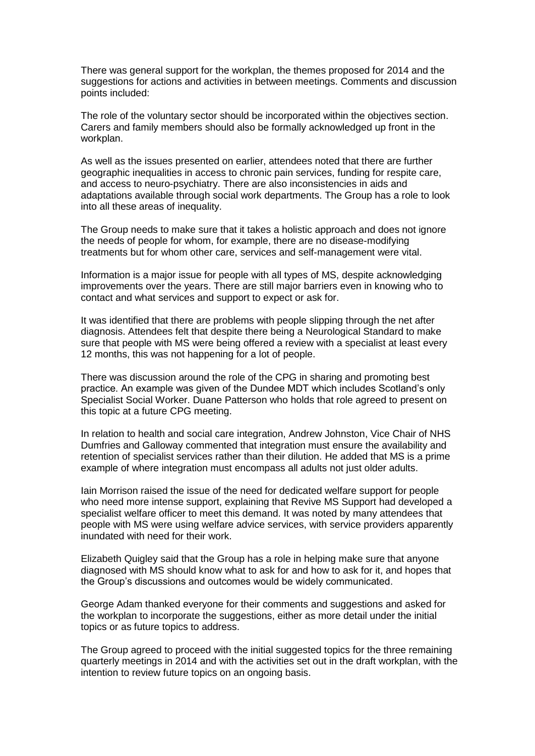There was general support for the workplan, the themes proposed for 2014 and the suggestions for actions and activities in between meetings. Comments and discussion points included:

The role of the voluntary sector should be incorporated within the objectives section. Carers and family members should also be formally acknowledged up front in the workplan.

As well as the issues presented on earlier, attendees noted that there are further geographic inequalities in access to chronic pain services, funding for respite care, and access to neuro-psychiatry. There are also inconsistencies in aids and adaptations available through social work departments. The Group has a role to look into all these areas of inequality.

The Group needs to make sure that it takes a holistic approach and does not ignore the needs of people for whom, for example, there are no disease-modifying treatments but for whom other care, services and self-management were vital.

Information is a major issue for people with all types of MS, despite acknowledging improvements over the years. There are still major barriers even in knowing who to contact and what services and support to expect or ask for.

It was identified that there are problems with people slipping through the net after diagnosis. Attendees felt that despite there being a Neurological Standard to make sure that people with MS were being offered a review with a specialist at least every 12 months, this was not happening for a lot of people.

There was discussion around the role of the CPG in sharing and promoting best practice. An example was given of the Dundee MDT which includes Scotland's only Specialist Social Worker. Duane Patterson who holds that role agreed to present on this topic at a future CPG meeting.

In relation to health and social care integration, Andrew Johnston, Vice Chair of NHS Dumfries and Galloway commented that integration must ensure the availability and retention of specialist services rather than their dilution. He added that MS is a prime example of where integration must encompass all adults not just older adults.

Iain Morrison raised the issue of the need for dedicated welfare support for people who need more intense support, explaining that Revive MS Support had developed a specialist welfare officer to meet this demand. It was noted by many attendees that people with MS were using welfare advice services, with service providers apparently inundated with need for their work.

Elizabeth Quigley said that the Group has a role in helping make sure that anyone diagnosed with MS should know what to ask for and how to ask for it, and hopes that the Group's discussions and outcomes would be widely communicated.

George Adam thanked everyone for their comments and suggestions and asked for the workplan to incorporate the suggestions, either as more detail under the initial topics or as future topics to address.

The Group agreed to proceed with the initial suggested topics for the three remaining quarterly meetings in 2014 and with the activities set out in the draft workplan, with the intention to review future topics on an ongoing basis.